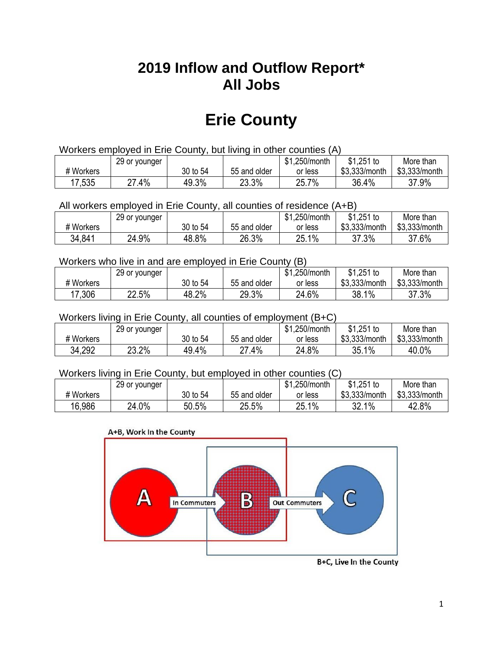## **2019 Inflow and Outflow Report\* All Jobs**

# **Erie County**

| Workers employed in Erie County, but living in other counties (A) |                                                            |          |              |         |               |               |  |  |  |
|-------------------------------------------------------------------|------------------------------------------------------------|----------|--------------|---------|---------------|---------------|--|--|--|
|                                                                   | $$1,251$ to<br>\$1.250/month<br>More than<br>29 or younger |          |              |         |               |               |  |  |  |
| # Workers                                                         |                                                            | 30 to 54 | 55 and older | or less | \$3,333/month | \$3,333/month |  |  |  |
| 17,535                                                            | 27.4%                                                      | 49.3%    | 23.3%        | 25.7%   | 36.4%         | 37.9%         |  |  |  |

All workers employed in Erie County, all counties of residence (A+B)

|           | 29 or younger |          |              | \$1,250/month | $$1,251$ to   | More than     |
|-----------|---------------|----------|--------------|---------------|---------------|---------------|
| # Workers |               | 30 to 54 | 55 and older | or less       | \$3,333/month | \$3,333/month |
| 34,841    | 24.9%         | 48.8%    | 26.3%        | 25.1%         | 37.3%         | 37.6%         |

#### Workers who live in and are employed in Erie County (B)

|           | 29 or younger |          |              | \$1,250/month | $$1,251$ to   | More than     |
|-----------|---------------|----------|--------------|---------------|---------------|---------------|
| # Workers |               | 30 to 54 | 55 and older | or less       | \$3,333/month | \$3,333/month |
| 17,306    | 22.5%         | 48.2%    | 29.3%        | 24.6%         | 38.1%         | 37.3%         |

#### Workers living in Erie County, all counties of employment (B+C)

|           | 29 or younger |          |              | \$1,250/month | \$1,251 to    | More than     |
|-----------|---------------|----------|--------------|---------------|---------------|---------------|
| # Workers |               | 30 to 54 | 55 and older | or less       | \$3,333/month | \$3,333/month |
| 34,292    | 23.2%         | 49.4%    | 27.4%        | 24.8%         | 35.1%         | 40.0%         |

#### Workers living in Erie County, but employed in other counties (C)

|           | 29 or younger |          |              | \$1,250/month | $$1,251$ to   | More than     |
|-----------|---------------|----------|--------------|---------------|---------------|---------------|
| # Workers |               | 30 to 54 | 55 and older | or less       | \$3,333/month | \$3,333/month |
| 16,986    | 24.0%         | 50.5%    | 25.5%        | ີ 1%<br>25.   | 32.1%         | 42.8%         |





B+C, Live In the County